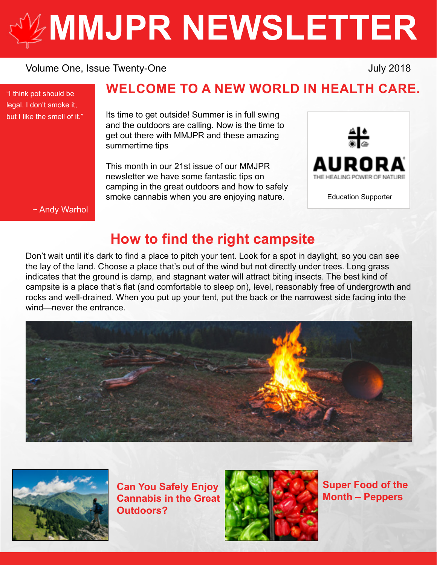# **[MMJPR NEWSLETTER](http://mmjpr.ca)**

#### Volume One, Issue Twenty-One July 2018

"I think pot should be legal. I don't smoke it, but I like the smell of it."

## **WELCOME TO A NEW WORLD IN HEALTH CARE.**

Its time to get outside! Summer is in full swing and the outdoors are calling. Now is the time to get out there with MMJPR and these amazing summertime tips

This month in our 21st issue of our MMJPR newsletter we have some fantastic tips on camping in the great outdoors and how to safely smoke cannabis when you are enjoying nature.



Education Supporter

~ Andy Warhol

## **How to find the right campsite**

Don't wait until it's dark to find a place to pitch your tent. Look for a spot in daylight, so you can see the lay of the land. Choose a place that's out of the wind but not directly under trees. Long grass indicates that the ground is damp, and stagnant water will attract biting insects. The best kind of campsite is a place that's flat (and comfortable to sleep on), level, reasonably free of undergrowth and rocks and well-drained. When you put up your tent, put the back or the narrowest side facing into the wind—never the entrance





**Can You Safely Enjoy Cannabis in the Great Outdoors?**



**Super Food of the Month – Peppers**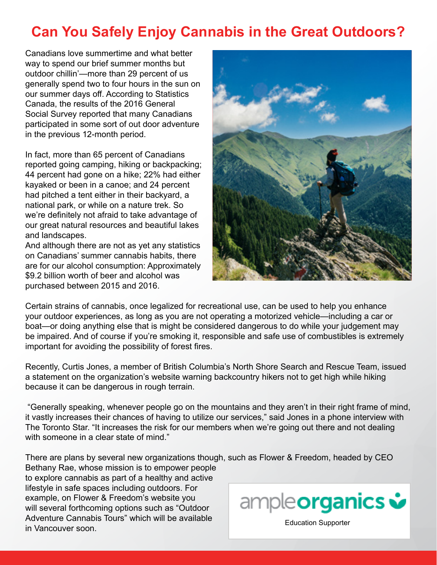## **Can You Safely Enjoy Cannabis in the Great Outdoors?**

Canadians love summertime and what better way to spend our brief summer months but outdoor chillin'—more than 29 percent of us generally spend two to four hours in the sun on our summer days off. According to Statistics Canada, the results of the 2016 General Social Survey reported that many Canadians participated in some sort of out door adventure in the previous 12-month period.

In fact, more than 65 percent of Canadians reported going camping, hiking or backpacking; 44 percent had gone on a hike; 22% had either kayaked or been in a canoe; and 24 percent had pitched a tent either in their backyard, a national park, or while on a nature trek. So we're definitely not afraid to take advantage of our great natural resources and beautiful lakes and landscapes.

And although there are not as yet any statistics on Canadians' summer cannabis habits, there are for our alcohol consumption: Approximately \$9.2 billion worth of beer and alcohol was purchased between 2015 and 2016.



Certain strains of cannabis, once legalized for recreational use, can be used to help you enhance your outdoor experiences, as long as you are not operating a motorized vehicle—including a car or boat—or doing anything else that is might be considered dangerous to do while your judgement may be impaired. And of course if you're smoking it, responsible and safe use of combustibles is extremely important for avoiding the possibility of forest fires.

Recently, Curtis Jones, a member of British Columbia's North Shore Search and Rescue Team, issued a statement on the organization's website warning backcountry hikers not to get high while hiking because it can be dangerous in rough terrain.

 "Generally speaking, whenever people go on the mountains and they aren't in their right frame of mind, it vastly increases their chances of having to utilize our services," said Jones in a phone interview with The Toronto Star. "It increases the risk for our members when we're going out there and not dealing with someone in a clear state of mind."

There are plans by several new organizations though, such as Flower & Freedom, headed by CEO Bethany Rae, whose mission is to empower people

to explore cannabis as part of a healthy and active lifestyle in safe spaces including outdoors. For example, on Flower & Freedom's website you will several forthcoming options such as "Outdoor Adventure Cannabis Tours" which will be available Adverticity Carliflabis Tours Writer will be available<br>in Vancouver soon.